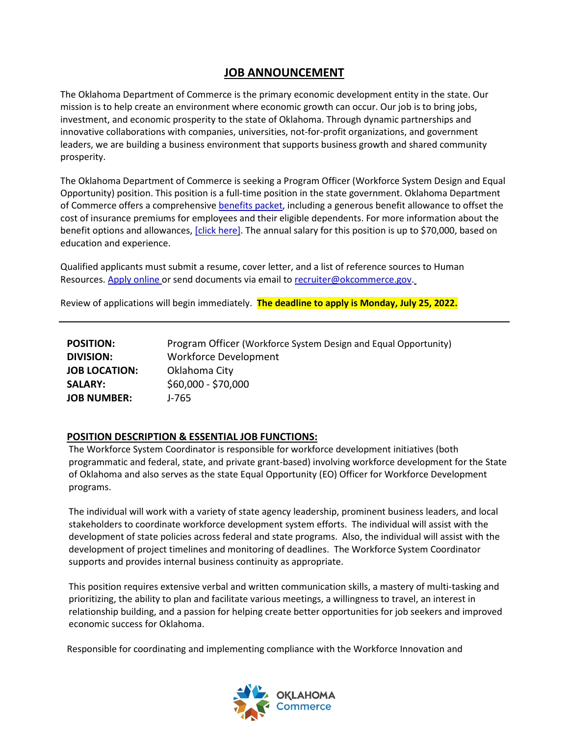## **JOB ANNOUNCEMENT**

The Oklahoma Department of Commerce is the primary economic development entity in the state. Our mission is to help create an environment where economic growth can occur. Our job is to bring jobs, investment, and economic prosperity to the state of Oklahoma. Through dynamic partnerships and innovative collaborations with companies, universities, not-for-profit organizations, and government leaders, we are building a business environment that supports business growth and shared community prosperity.

The Oklahoma Department of Commerce is seeking a Program Officer (Workforce System Design and Equal Opportunity) position. This position is a full-time position in the state government. Oklahoma Department of Commerce offers a comprehensiv[e benefits packet,](https://omes.ok.gov/services/employee-benefits) including a generous benefit allowance to offset the cost of insurance premiums for employees and their eligible dependents. For more information about the benefit options and allowances[, \[click here\].](https://oklahoma.gov/content/dam/ok/en/employee-benefits/documents/2022-forms/2022-Monthly-Rates.pdf) The annual salary for this position is up to \$70,000, based on education and experience.

Qualified applicants must submit a resume, cover letter, and a list of reference sources to Human Resources. [Apply online](mailto:Apply%20online) or send documents via email to [recruiter@okcommerce.gov.](mailto:recruiter@okcommerce.gov)

Review of applications will begin immediately. **The deadline to apply is Monday, July 25, 2022.**

| <b>POSITION:</b>     | Program Officer (Workforce System Design and Equal Opportunity) |
|----------------------|-----------------------------------------------------------------|
| <b>DIVISION:</b>     | <b>Workforce Development</b>                                    |
| <b>JOB LOCATION:</b> | Oklahoma City                                                   |
| <b>SALARY:</b>       | \$60,000 - \$70,000                                             |
| <b>JOB NUMBER:</b>   | J-765                                                           |

#### **POSITION DESCRIPTION & ESSENTIAL JOB FUNCTIONS:**

The Workforce System Coordinator is responsible for workforce development initiatives (both programmatic and federal, state, and private grant-based) involving workforce development for the State of Oklahoma and also serves as the state Equal Opportunity (EO) Officer for Workforce Development programs.

The individual will work with a variety of state agency leadership, prominent business leaders, and local stakeholders to coordinate workforce development system efforts. The individual will assist with the development of state policies across federal and state programs. Also, the individual will assist with the development of project timelines and monitoring of deadlines. The Workforce System Coordinator supports and provides internal business continuity as appropriate.

This position requires extensive verbal and written communication skills, a mastery of multi-tasking and prioritizing, the ability to plan and facilitate various meetings, a willingness to travel, an interest in relationship building, and a passion for helping create better opportunities for job seekers and improved economic success for Oklahoma.

Responsible for coordinating and implementing compliance with the Workforce Innovation and

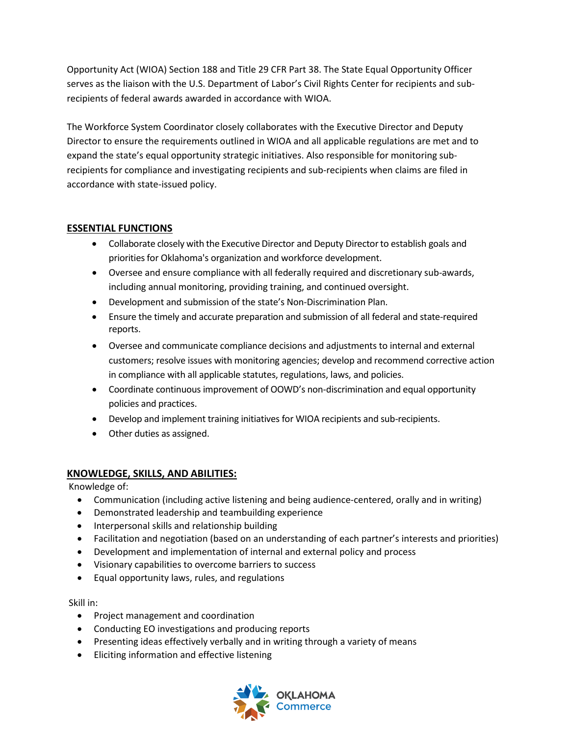Opportunity Act (WIOA) Section 188 and Title 29 CFR Part 38. The State Equal Opportunity Officer serves as the liaison with the U.S. Department of Labor's Civil Rights Center for recipients and subrecipients of federal awards awarded in accordance with WIOA.

The Workforce System Coordinator closely collaborates with the Executive Director and Deputy Director to ensure the requirements outlined in WIOA and all applicable regulations are met and to expand the state's equal opportunity strategic initiatives. Also responsible for monitoring subrecipients for compliance and investigating recipients and sub-recipients when claims are filed in accordance with state-issued policy.

#### **ESSENTIAL FUNCTIONS**

- Collaborate closely with the Executive Director and Deputy Director to establish goals and priorities for Oklahoma's organization and workforce development.
- Oversee and ensure compliance with all federally required and discretionary sub-awards, including annual monitoring, providing training, and continued oversight.
- Development and submission of the state's Non-Discrimination Plan.
- Ensure the timely and accurate preparation and submission of all federal and state-required reports.
- Oversee and communicate compliance decisions and adjustments to internal and external customers; resolve issues with monitoring agencies; develop and recommend corrective action in compliance with all applicable statutes, regulations, laws, and policies.
- Coordinate continuous improvement of OOWD's non-discrimination and equal opportunity policies and practices.
- Develop and implement training initiatives for WIOA recipients and sub-recipients.
- Other duties as assigned.

#### **KNOWLEDGE, SKILLS, AND ABILITIES:**

Knowledge of:

- Communication (including active listening and being audience-centered, orally and in writing)
- Demonstrated leadership and teambuilding experience
- Interpersonal skills and relationship building
- Facilitation and negotiation (based on an understanding of each partner's interests and priorities)
- Development and implementation of internal and external policy and process
- Visionary capabilities to overcome barriers to success
- Equal opportunity laws, rules, and regulations

Skill in:

- Project management and coordination
- Conducting EO investigations and producing reports
- Presenting ideas effectively verbally and in writing through a variety of means
- Eliciting information and effective listening